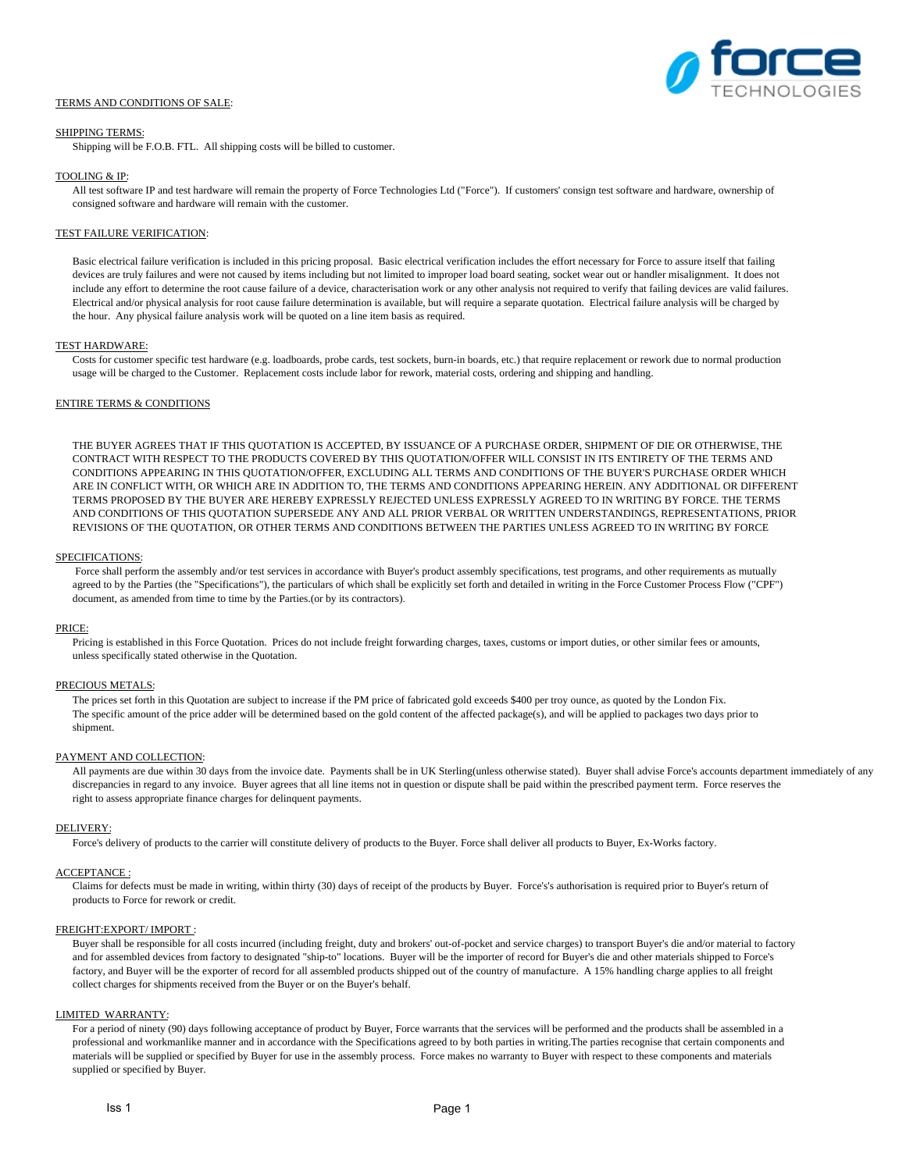## TERMS AND CONDITIONS OF SALE:



### SHIPPING TERMS:

Shipping will be F.O.B. FTL. All shipping costs will be billed to customer.

### TOOLING & IP:

All test software IP and test hardware will remain the property of Force Technologies Ltd ("Force"). If customers' consign test software and hardware, ownership of consigned software and hardware will remain with the customer.

## TEST FAILURE VERIFICATION:

Basic electrical failure verification is included in this pricing proposal. Basic electrical verification includes the effort necessary for Force to assure itself that failing devices are truly failures and were not caused by items including but not limited to improper load board seating, socket wear out or handler misalignment. It does not include any effort to determine the root cause failure of a device, characterisation work or any other analysis not required to verify that failing devices are valid failures. Electrical and/or physical analysis for root cause failure determination is available, but will require a separate quotation. Electrical failure analysis will be charged by the hour. Any physical failure analysis work will be quoted on a line item basis as required.

#### TEST HARDWARE:

Costs for customer specific test hardware (e.g. loadboards, probe cards, test sockets, burn-in boards, etc.) that require replacement or rework due to normal production usage will be charged to the Customer. Replacement costs include labor for rework, material costs, ordering and shipping and handling.

### ENTIRE TERMS & CONDITIONS

THE BUYER AGREES THAT IF THIS QUOTATION IS ACCEPTED, BY ISSUANCE OF A PURCHASE ORDER, SHIPMENT OF DIE OR OTHERWISE, THE CONTRACT WITH RESPECT TO THE PRODUCTS COVERED BY THIS QUOTATION/OFFER WILL CONSIST IN ITS ENTIRETY OF THE TERMS AND CONDITIONS APPEARING IN THIS QUOTATION/OFFER, EXCLUDING ALL TERMS AND CONDITIONS OF THE BUYER'S PURCHASE ORDER WHICH ARE IN CONFLICT WITH, OR WHICH ARE IN ADDITION TO, THE TERMS AND CONDITIONS APPEARING HEREIN. ANY ADDITIONAL OR DIFFERENT TERMS PROPOSED BY THE BUYER ARE HEREBY EXPRESSLY REJECTED UNLESS EXPRESSLY AGREED TO IN WRITING BY FORCE. THE TERMS AND CONDITIONS OF THIS QUOTATION SUPERSEDE ANY AND ALL PRIOR VERBAL OR WRITTEN UNDERSTANDINGS, REPRESENTATIONS, PRIOR REVISIONS OF THE QUOTATION, OR OTHER TERMS AND CONDITIONS BETWEEN THE PARTIES UNLESS AGREED TO IN WRITING BY FORCE

#### SPECIFICATIONS:

Force shall perform the assembly and/or test services in accordance with Buyer's product assembly specifications, test programs, and other requirements as mutually agreed to by the Parties (the "Specifications"), the particulars of which shall be explicitly set forth and detailed in writing in the Force Customer Process Flow ("CPF") document, as amended from time to time by the Parties.(or by its contractors).

#### PRICE:

Pricing is established in this Force Quotation. Prices do not include freight forwarding charges, taxes, customs or import duties, or other similar fees or amounts, unless specifically stated otherwise in the Quotation.

## PRECIOUS METALS:

The prices set forth in this Quotation are subject to increase if the PM price of fabricated gold exceeds \$400 per troy ounce, as quoted by the London Fix. The specific amount of the price adder will be determined based on the gold content of the affected package(s), and will be applied to packages two days prior to shipment.

### PAYMENT AND COLLECTION:

All payments are due within 30 days from the invoice date. Payments shall be in UK Sterling(unless otherwise stated). Buyer shall advise Force's accounts department immediately of any discrepancies in regard to any invoice. Buyer agrees that all line items not in question or dispute shall be paid within the prescribed payment term. Force reserves the right to assess appropriate finance charges for delinquent payments.

### DELIVERY:

Force's delivery of products to the carrier will constitute delivery of products to the Buyer. Force shall deliver all products to Buyer, Ex-Works factory.

# ACCEPTANCE :

Claims for defects must be made in writing, within thirty (30) days of receipt of the products by Buyer. Force's's authorisation is required prior to Buyer's return of products to Force for rework or credit.

# FREIGHT:EXPORT/ IMPORT :

Buyer shall be responsible for all costs incurred (including freight, duty and brokers' out-of-pocket and service charges) to transport Buyer's die and/or material to factory and for assembled devices from factory to designated "ship-to" locations. Buyer will be the importer of record for Buyer's die and other materials shipped to Force's factory, and Buyer will be the exporter of record for all assembled products shipped out of the country of manufacture. A 15% handling charge applies to all freight collect charges for shipments received from the Buyer or on the Buyer's behalf.

# LIMITED WARRANTY:

For a period of ninety (90) days following acceptance of product by Buyer, Force warrants that the services will be performed and the products shall be assembled in a professional and workmanlike manner and in accordance with the Specifications agreed to by both parties in writing.The parties recognise that certain components and materials will be supplied or specified by Buyer for use in the assembly process. Force makes no warranty to Buyer with respect to these components and materials supplied or specified by Buyer.